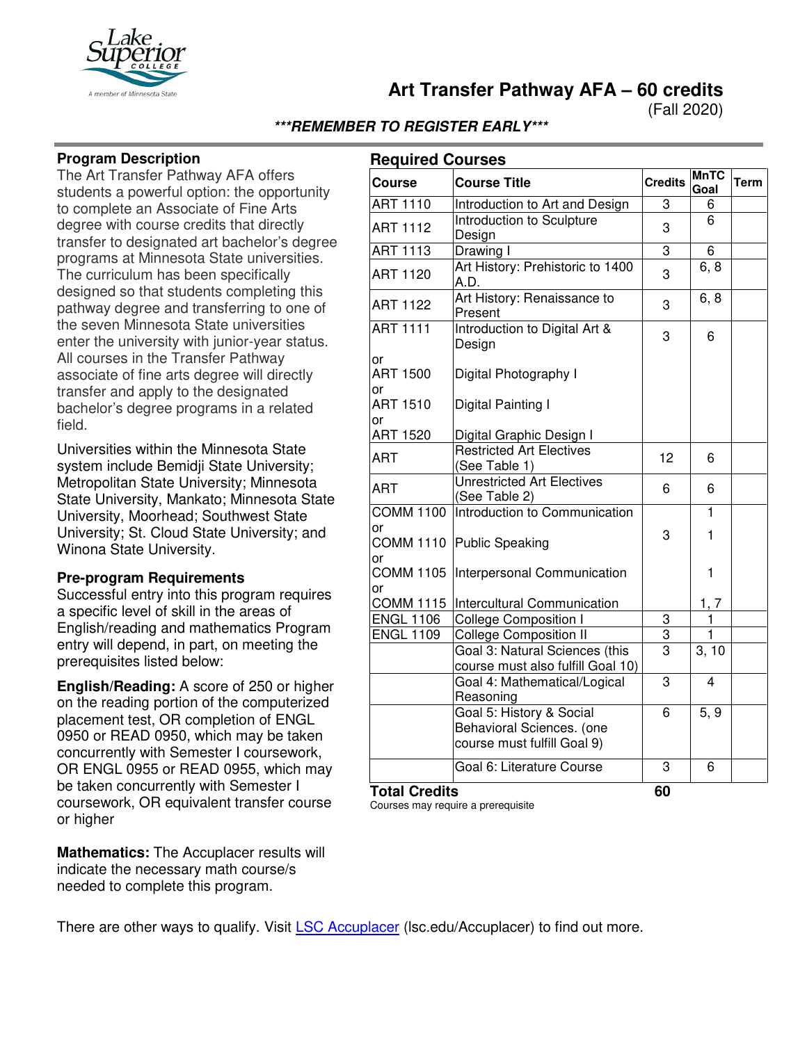

**Art Transfer Pathway AFA – 60 credits**

(Fall 2020)

# **\*\*\*REMEMBER TO REGISTER EARLY\*\*\***

## **Program Description**

The Art Transfer Pathway AFA offers students a powerful option: the opportunity to complete an Associate of Fine Arts degree with course credits that directly transfer to designated art bachelor's degree programs at Minnesota State universities. The curriculum has been specifically designed so that students completing this pathway degree and transferring to one of the seven Minnesota State universities enter the university with junior-year status. All courses in the Transfer Pathway associate of fine arts degree will directly transfer and apply to the designated bachelor's degree programs in a related field.

Universities within the Minnesota State system include Bemidji State University; Metropolitan State University; Minnesota State University, Mankato; Minnesota State University, Moorhead; Southwest State University; St. Cloud State University; and Winona State University.

#### **Pre-program Requirements**

Successful entry into this program requires a specific level of skill in the areas of English/reading and mathematics Program entry will depend, in part, on meeting the prerequisites listed below:

**English/Reading:** A score of 250 or higher on the reading portion of the computerized placement test, OR completion of ENGL 0950 or READ 0950, which may be taken concurrently with Semester I coursework, OR ENGL 0955 or READ 0955, which may be taken concurrently with Semester I coursework, OR equivalent transfer course or higher

**Mathematics:** The Accuplacer results will indicate the necessary math course/s needed to complete this program.

| <b>Required Courses</b>      |                                                                                      |                |                         |             |
|------------------------------|--------------------------------------------------------------------------------------|----------------|-------------------------|-------------|
| <b>Course</b>                | <b>Course Title</b>                                                                  | <b>Credits</b> | <b>MnTC</b><br>Goal     | <b>Term</b> |
| <b>ART 1110</b>              | Introduction to Art and Design                                                       | 3              | 6                       |             |
| <b>ART 1112</b>              | Introduction to Sculpture<br>Design                                                  | 3              | 6                       |             |
| <b>ART 1113</b>              | Drawing I                                                                            | 3              | 6                       |             |
| <b>ART 1120</b>              | Art History: Prehistoric to 1400<br>A.D.                                             | 3              | 6, 8                    |             |
| <b>ART 1122</b>              | Art History: Renaissance to<br>Present                                               | 3              | 6, 8                    |             |
| <b>ART 1111</b>              | Introduction to Digital Art &<br>Design                                              | 3              | 6                       |             |
| or<br><b>ART 1500</b><br>or  | Digital Photography I                                                                |                |                         |             |
| <b>ART 1510</b><br>or        | Digital Painting I                                                                   |                |                         |             |
| <b>ART 1520</b>              | Digital Graphic Design I                                                             |                |                         |             |
| <b>ART</b>                   | <b>Restricted Art Electives</b><br>(See Table 1)                                     | 12             | 6                       |             |
| ART                          | <b>Unrestricted Art Electives</b><br>(See Table 2)                                   | 6              | 6                       |             |
| <b>COMM 1100</b>             | Introduction to Communication                                                        |                | $\mathbf{1}$            |             |
| or<br><b>COMM 1110</b>       | Public Speaking                                                                      | 3              | 1                       |             |
| or<br><b>COMM 1105</b><br>or | Interpersonal Communication                                                          |                | 1                       |             |
| COMM 1115                    | Intercultural Communication                                                          |                | 1, 7                    |             |
| <b>ENGL 1106</b>             | <b>College Composition I</b>                                                         | 3              | 1                       |             |
| <b>ENGL 1109</b>             | <b>College Composition II</b>                                                        | $\overline{3}$ | $\mathbf{1}$            |             |
|                              | Goal 3: Natural Sciences (this<br>course must also fulfill Goal 10)                  | $\overline{3}$ | 3, 10                   |             |
|                              | Goal 4: Mathematical/Logical<br>Reasoning                                            | 3              | $\overline{\mathbf{4}}$ |             |
|                              | Goal 5: History & Social<br>Behavioral Sciences. (one<br>course must fulfill Goal 9) | 6              | 5, 9                    |             |
|                              | Goal 6: Literature Course                                                            | 3              | 6                       |             |
| <b>Total Credits</b>         |                                                                                      | 60             |                         |             |

Courses may require a prerequisite

There are other ways to qualify. Visit **[LSC Accuplacer](https://www.lsc.edu/accuplacer/)** (Isc.edu/Accuplacer) to find out more.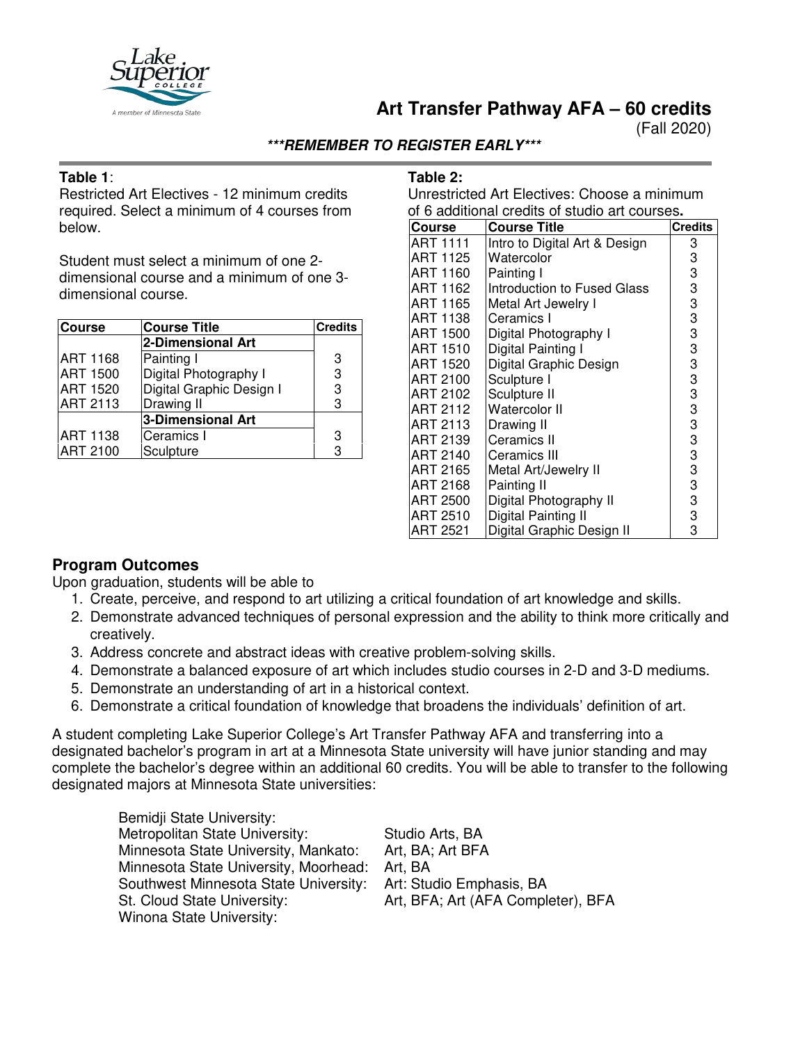

# **Art Transfer Pathway AFA – 60 credits**

(Fall 2020)

### **\*\*\*REMEMBER TO REGISTER EARLY\*\*\***

#### **Table 1**:

Restricted Art Electives - 12 minimum credits required. Select a minimum of 4 courses from below.

Student must select a minimum of one 2 dimensional course and a minimum of one 3 dimensional course.

| <b>Course</b>   | <b>Course Title</b>      | <b>Credits</b> |
|-----------------|--------------------------|----------------|
|                 | 2-Dimensional Art        |                |
| <b>ART 1168</b> | Painting I               | 3              |
| <b>ART 1500</b> | Digital Photography I    | 3              |
| <b>ART 1520</b> | Digital Graphic Design I | 3              |
| <b>ART 2113</b> | Drawing II               | 3              |
|                 | 3-Dimensional Art        |                |
| <b>ART 1138</b> | Ceramics I               | 3              |
| <b>ART 2100</b> | Sculpture                | 3              |

#### **Table 2:**

Unrestricted Art Electives: Choose a minimum of 6 additional credits of studio art courses**.**

| <b>Course</b>   | <b>Course Title</b>           | <b>Credits</b> |
|-----------------|-------------------------------|----------------|
| ART 1111        | Intro to Digital Art & Design | 3              |
| ART 1125        | Watercolor                    | 3              |
| ART 1160        | Painting I                    | 3              |
| ART 1162        | Introduction to Fused Glass   | 3              |
| ART 1165        | Metal Art Jewelry I           | 3              |
| ART 1138        | Ceramics I                    | 3              |
| ART 1500        | Digital Photography I         | 3              |
| ART 1510        | Digital Painting I            | 3              |
| ART 1520        | Digital Graphic Design        | 3              |
| ART 2100        | Sculpture I                   | 3              |
| ART 2102        | Sculpture II                  | 3              |
| <b>ART 2112</b> | Watercolor II                 | 3              |
| ART 2113        | Drawing II                    | 3              |
| ART 2139        | Ceramics II                   | 3              |
| ART 2140        | Ceramics III                  | 3              |
| ART 2165        | Metal Art/Jewelry II          | 3              |
| ART 2168        | Painting II                   | 3              |
| ART 2500        | Digital Photography II        | 3              |
| ART 2510        | Digital Painting II           | 3              |
| <b>ART 2521</b> | Digital Graphic Design II     | 3              |

# **Program Outcomes**

Upon graduation, students will be able to

- 1. Create, perceive, and respond to art utilizing a critical foundation of art knowledge and skills.
- 2. Demonstrate advanced techniques of personal expression and the ability to think more critically and creatively.
- 3. Address concrete and abstract ideas with creative problem-solving skills.
- 4. Demonstrate a balanced exposure of art which includes studio courses in 2-D and 3-D mediums.
- 5. Demonstrate an understanding of art in a historical context.
- 6. Demonstrate a critical foundation of knowledge that broadens the individuals' definition of art.

A student completing Lake Superior College's Art Transfer Pathway AFA and transferring into a designated bachelor's program in art at a Minnesota State university will have junior standing and may complete the bachelor's degree within an additional 60 credits. You will be able to transfer to the following designated majors at Minnesota State universities:

| Bemidji State University:             |                                    |
|---------------------------------------|------------------------------------|
| Metropolitan State University:        | Studio Arts, BA                    |
| Minnesota State University, Mankato:  | Art, BA; Art BFA                   |
| Minnesota State University, Moorhead: | Art. BA                            |
| Southwest Minnesota State University: | Art: Studio Emphasis, BA           |
| St. Cloud State University:           | Art, BFA; Art (AFA Completer), BFA |
| Winona State University:              |                                    |